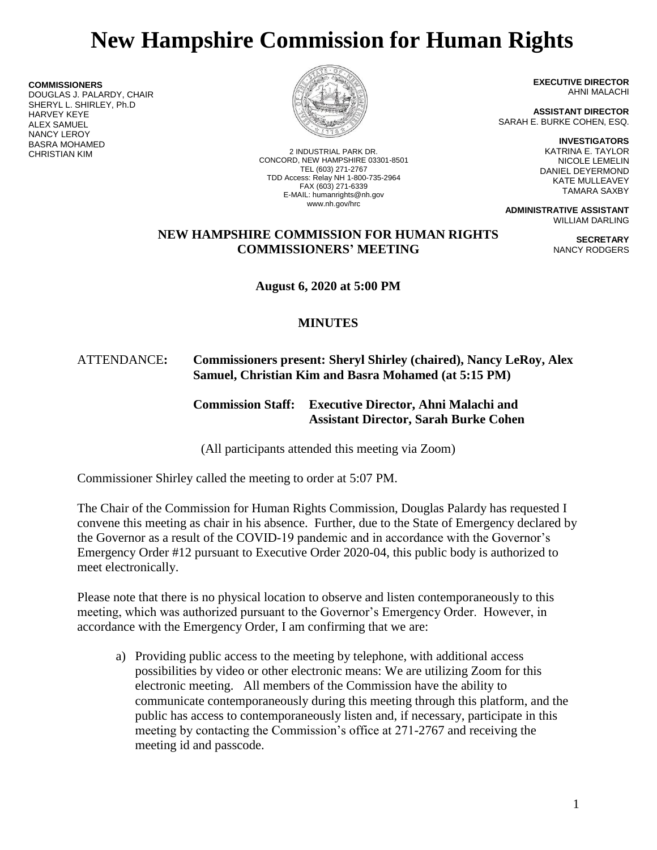# **New Hampshire Commission for Human Rights**

**COMMISSIONERS** DOUGLAS J. PALARDY, CHAIR SHERYL L. SHIRLEY, Ph.D HARVEY KEYE ALEX SAMUEL NANCY LEROY BASRA MOHAMED



2 INDUSTRIAL PARK DR. CONCORD, NEW HAMPSHIRE 03301-8501 TEL (603) 271-2767 TDD Access: Relay NH 1-800-735-2964 FAX (603) 271-6339 E-MAIL: humanrights@nh.gov www.nh.gov/hrc

**EXECUTIVE DIRECTOR** AHNI MALACHI

**ASSISTANT DIRECTOR** SARAH E. BURKE COHEN, ESQ.

> **INVESTIGATORS** KATRINA E. TAYLOR NICOLE LEMELIN DANIEL DEYERMOND KATE MULLEAVEY TAMARA SAXBY

> > **SECRETARY** NANCY RODGERS

**ADMINISTRATIVE ASSISTANT** WILLIAM DARLING

## **NEW HAMPSHIRE COMMISSION FOR HUMAN RIGHTS COMMISSIONERS' MEETING**

**August 6, 2020 at 5:00 PM**

# **MINUTES**

## ATTENDANCE**: Commissioners present: Sheryl Shirley (chaired), Nancy LeRoy, Alex Samuel, Christian Kim and Basra Mohamed (at 5:15 PM)**

**Commission Staff: Executive Director, Ahni Malachi and Assistant Director, Sarah Burke Cohen**

(All participants attended this meeting via Zoom)

Commissioner Shirley called the meeting to order at 5:07 PM.

The Chair of the Commission for Human Rights Commission, Douglas Palardy has requested I convene this meeting as chair in his absence. Further, due to the State of Emergency declared by the Governor as a result of the COVID-19 pandemic and in accordance with the Governor's Emergency Order #12 pursuant to Executive Order 2020-04, this public body is authorized to meet electronically.

Please note that there is no physical location to observe and listen contemporaneously to this meeting, which was authorized pursuant to the Governor's Emergency Order. However, in accordance with the Emergency Order, I am confirming that we are:

a) Providing public access to the meeting by telephone, with additional access possibilities by video or other electronic means: We are utilizing Zoom for this electronic meeting. All members of the Commission have the ability to communicate contemporaneously during this meeting through this platform, and the public has access to contemporaneously listen and, if necessary, participate in this meeting by contacting the Commission's office at 271-2767 and receiving the meeting id and passcode.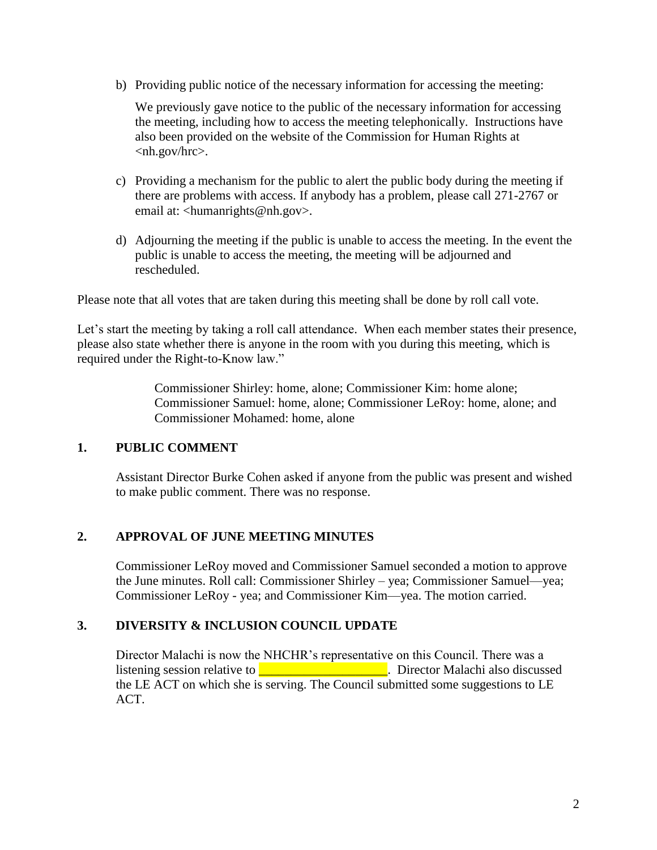b) Providing public notice of the necessary information for accessing the meeting:

We previously gave notice to the public of the necessary information for accessing the meeting, including how to access the meeting telephonically. Instructions have also been provided on the website of the Commission for Human Rights at <nh.gov/hrc>.

- c) Providing a mechanism for the public to alert the public body during the meeting if there are problems with access. If anybody has a problem, please call 271-2767 or email at: <humanrights@nh.gov>.
- d) Adjourning the meeting if the public is unable to access the meeting. In the event the public is unable to access the meeting, the meeting will be adjourned and rescheduled.

Please note that all votes that are taken during this meeting shall be done by roll call vote.

Let's start the meeting by taking a roll call attendance. When each member states their presence, please also state whether there is anyone in the room with you during this meeting, which is required under the Right-to-Know law."

> Commissioner Shirley: home, alone; Commissioner Kim: home alone; Commissioner Samuel: home, alone; Commissioner LeRoy: home, alone; and Commissioner Mohamed: home, alone

## **1. PUBLIC COMMENT**

Assistant Director Burke Cohen asked if anyone from the public was present and wished to make public comment. There was no response.

# **2. APPROVAL OF JUNE MEETING MINUTES**

Commissioner LeRoy moved and Commissioner Samuel seconded a motion to approve the June minutes. Roll call: Commissioner Shirley – yea; Commissioner Samuel—yea; Commissioner LeRoy - yea; and Commissioner Kim—yea. The motion carried.

# **3. DIVERSITY & INCLUSION COUNCIL UPDATE**

Director Malachi is now the NHCHR's representative on this Council. There was a listening session relative to \_\_\_\_\_\_\_\_\_\_\_\_\_\_\_\_\_\_\_\_. Director Malachi also discussed the LE ACT on which she is serving. The Council submitted some suggestions to LE ACT.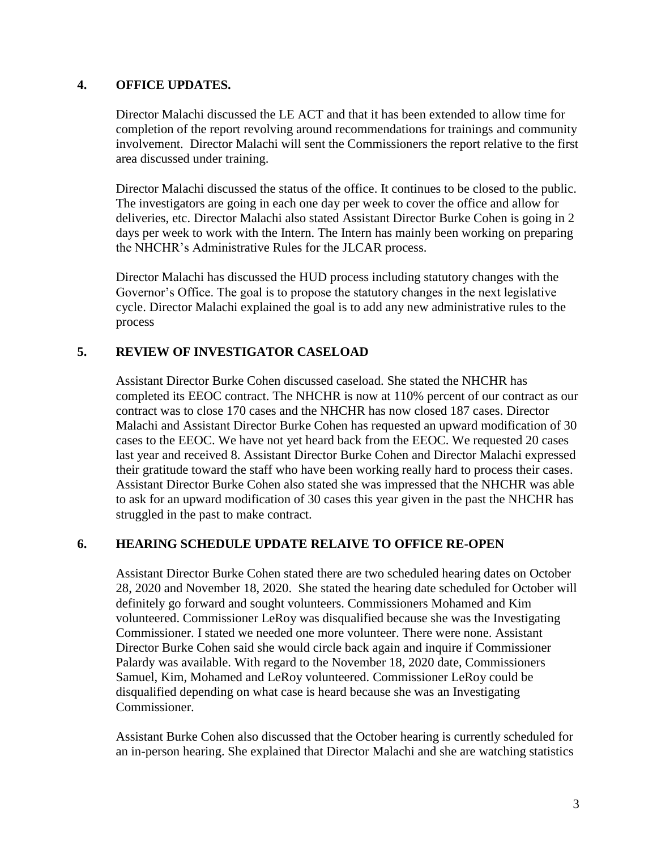#### **4. OFFICE UPDATES.**

Director Malachi discussed the LE ACT and that it has been extended to allow time for completion of the report revolving around recommendations for trainings and community involvement. Director Malachi will sent the Commissioners the report relative to the first area discussed under training.

Director Malachi discussed the status of the office. It continues to be closed to the public. The investigators are going in each one day per week to cover the office and allow for deliveries, etc. Director Malachi also stated Assistant Director Burke Cohen is going in 2 days per week to work with the Intern. The Intern has mainly been working on preparing the NHCHR's Administrative Rules for the JLCAR process.

Director Malachi has discussed the HUD process including statutory changes with the Governor's Office. The goal is to propose the statutory changes in the next legislative cycle. Director Malachi explained the goal is to add any new administrative rules to the process

## **5. REVIEW OF INVESTIGATOR CASELOAD**

Assistant Director Burke Cohen discussed caseload. She stated the NHCHR has completed its EEOC contract. The NHCHR is now at 110% percent of our contract as our contract was to close 170 cases and the NHCHR has now closed 187 cases. Director Malachi and Assistant Director Burke Cohen has requested an upward modification of 30 cases to the EEOC. We have not yet heard back from the EEOC. We requested 20 cases last year and received 8. Assistant Director Burke Cohen and Director Malachi expressed their gratitude toward the staff who have been working really hard to process their cases. Assistant Director Burke Cohen also stated she was impressed that the NHCHR was able to ask for an upward modification of 30 cases this year given in the past the NHCHR has struggled in the past to make contract.

## **6. HEARING SCHEDULE UPDATE RELAIVE TO OFFICE RE-OPEN**

Assistant Director Burke Cohen stated there are two scheduled hearing dates on October 28, 2020 and November 18, 2020. She stated the hearing date scheduled for October will definitely go forward and sought volunteers. Commissioners Mohamed and Kim volunteered. Commissioner LeRoy was disqualified because she was the Investigating Commissioner. I stated we needed one more volunteer. There were none. Assistant Director Burke Cohen said she would circle back again and inquire if Commissioner Palardy was available. With regard to the November 18, 2020 date, Commissioners Samuel, Kim, Mohamed and LeRoy volunteered. Commissioner LeRoy could be disqualified depending on what case is heard because she was an Investigating Commissioner.

Assistant Burke Cohen also discussed that the October hearing is currently scheduled for an in-person hearing. She explained that Director Malachi and she are watching statistics